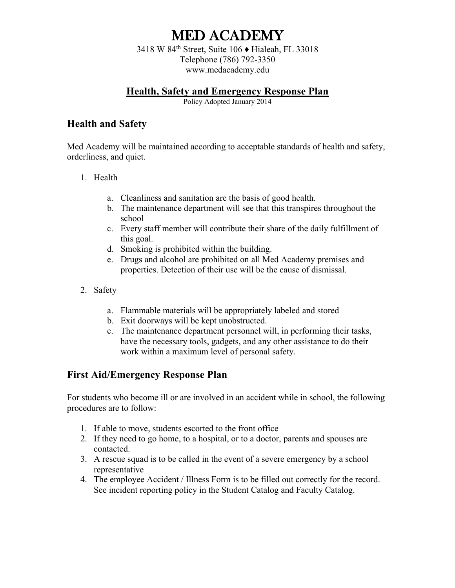3418 W 84th Street, Suite 106 ♦ Hialeah, FL 33018 Telephone (786) 792-3350 www.medacademy.edu

#### **Health, Safety and Emergency Response Plan**

Policy Adopted January 2014

#### **Health and Safety**

Med Academy will be maintained according to acceptable standards of health and safety, orderliness, and quiet.

- 1. Health
	- a. Cleanliness and sanitation are the basis of good health.
	- b. The maintenance department will see that this transpires throughout the school
	- c. Every staff member will contribute their share of the daily fulfillment of this goal.
	- d. Smoking is prohibited within the building.
	- e. Drugs and alcohol are prohibited on all Med Academy premises and properties. Detection of their use will be the cause of dismissal.
- 2. Safety
	- a. Flammable materials will be appropriately labeled and stored
	- b. Exit doorways will be kept unobstructed.
	- c. The maintenance department personnel will, in performing their tasks, have the necessary tools, gadgets, and any other assistance to do their work within a maximum level of personal safety.

#### **First Aid/Emergency Response Plan**

For students who become ill or are involved in an accident while in school, the following procedures are to follow:

- 1. If able to move, students escorted to the front office
- 2. If they need to go home, to a hospital, or to a doctor, parents and spouses are contacted.
- 3. A rescue squad is to be called in the event of a severe emergency by a school representative
- 4. The employee Accident / Illness Form is to be filled out correctly for the record. See incident reporting policy in the Student Catalog and Faculty Catalog.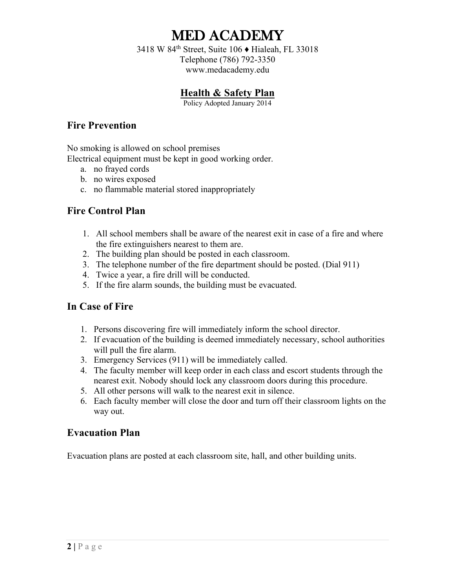3418 W 84th Street, Suite 106 ♦ Hialeah, FL 33018 Telephone (786) 792-3350 www.medacademy.edu

### **Health & Safety Plan**

Policy Adopted January 2014

#### **Fire Prevention**

No smoking is allowed on school premises

Electrical equipment must be kept in good working order.

- a. no frayed cords
- b. no wires exposed
- c. no flammable material stored inappropriately

#### **Fire Control Plan**

- 1. All school members shall be aware of the nearest exit in case of a fire and where the fire extinguishers nearest to them are.
- 2. The building plan should be posted in each classroom.
- 3. The telephone number of the fire department should be posted. (Dial 911)
- 4. Twice a year, a fire drill will be conducted.
- 5. If the fire alarm sounds, the building must be evacuated.

#### **In Case of Fire**

- 1. Persons discovering fire will immediately inform the school director.
- 2. If evacuation of the building is deemed immediately necessary, school authorities will pull the fire alarm.
- 3. Emergency Services (911) will be immediately called.
- 4. The faculty member will keep order in each class and escort students through the nearest exit. Nobody should lock any classroom doors during this procedure.
- 5. All other persons will walk to the nearest exit in silence.
- 6. Each faculty member will close the door and turn off their classroom lights on the way out.

#### **Evacuation Plan**

Evacuation plans are posted at each classroom site, hall, and other building units.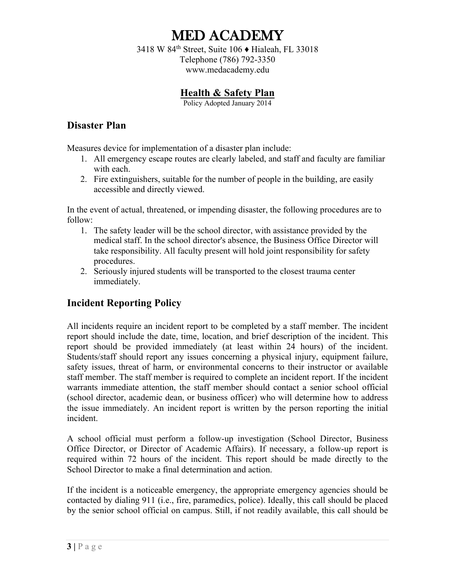3418 W 84th Street, Suite 106 ♦ Hialeah, FL 33018 Telephone (786) 792-3350 www.medacademy.edu

## **Health & Safety Plan**

Policy Adopted January 2014

#### **Disaster Plan**

Measures device for implementation of a disaster plan include:

- 1. All emergency escape routes are clearly labeled, and staff and faculty are familiar with each.
- 2. Fire extinguishers, suitable for the number of people in the building, are easily accessible and directly viewed.

In the event of actual, threatened, or impending disaster, the following procedures are to follow:

- 1. The safety leader will be the school director, with assistance provided by the medical staff. In the school director's absence, the Business Office Director will take responsibility. All faculty present will hold joint responsibility for safety procedures.
- 2. Seriously injured students will be transported to the closest trauma center immediately.

### **Incident Reporting Policy**

All incidents require an incident report to be completed by a staff member. The incident report should include the date, time, location, and brief description of the incident. This report should be provided immediately (at least within 24 hours) of the incident. Students/staff should report any issues concerning a physical injury, equipment failure, safety issues, threat of harm, or environmental concerns to their instructor or available staff member. The staff member is required to complete an incident report. If the incident warrants immediate attention, the staff member should contact a senior school official (school director, academic dean, or business officer) who will determine how to address the issue immediately. An incident report is written by the person reporting the initial incident.

A school official must perform a follow-up investigation (School Director, Business Office Director, or Director of Academic Affairs). If necessary, a follow-up report is required within 72 hours of the incident. This report should be made directly to the School Director to make a final determination and action.

If the incident is a noticeable emergency, the appropriate emergency agencies should be contacted by dialing 911 (i.e., fire, paramedics, police). Ideally, this call should be placed by the senior school official on campus. Still, if not readily available, this call should be